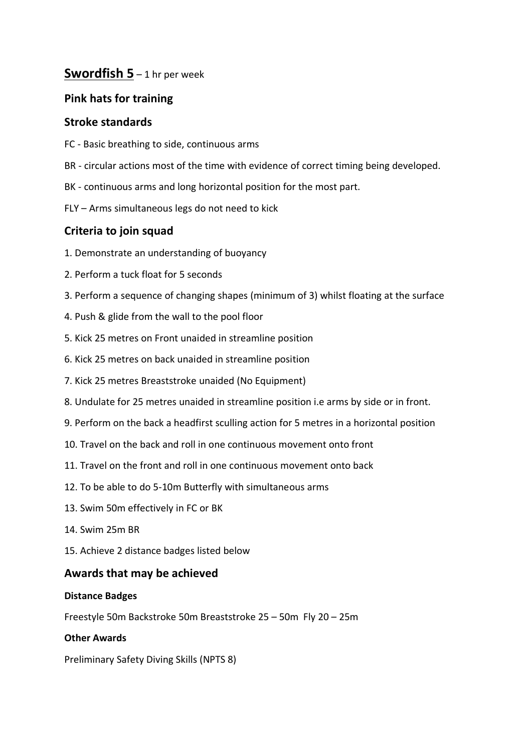# **Swordfish 5** – 1 hr per week

# **Pink hats for training**

### **Stroke standards**

- FC Basic breathing to side, continuous arms
- BR circular actions most of the time with evidence of correct timing being developed.
- BK continuous arms and long horizontal position for the most part.
- FLY Arms simultaneous legs do not need to kick

# **Criteria to join squad**

- 1. Demonstrate an understanding of buoyancy
- 2. Perform a tuck float for 5 seconds
- 3. Perform a sequence of changing shapes (minimum of 3) whilst floating at the surface
- 4. Push & glide from the wall to the pool floor
- 5. Kick 25 metres on Front unaided in streamline position
- 6. Kick 25 metres on back unaided in streamline position
- 7. Kick 25 metres Breaststroke unaided (No Equipment)
- 8. Undulate for 25 metres unaided in streamline position i.e arms by side or in front.
- 9. Perform on the back a headfirst sculling action for 5 metres in a horizontal position
- 10. Travel on the back and roll in one continuous movement onto front
- 11. Travel on the front and roll in one continuous movement onto back
- 12. To be able to do 5-10m Butterfly with simultaneous arms
- 13. Swim 50m effectively in FC or BK
- 14. Swim 25m BR
- 15. Achieve 2 distance badges listed below

### **Awards that may be achieved**

### **Distance Badges**

Freestyle 50m Backstroke 50m Breaststroke 25 – 50m Fly 20 – 25m

### **Other Awards**

Preliminary Safety Diving Skills (NPTS 8)